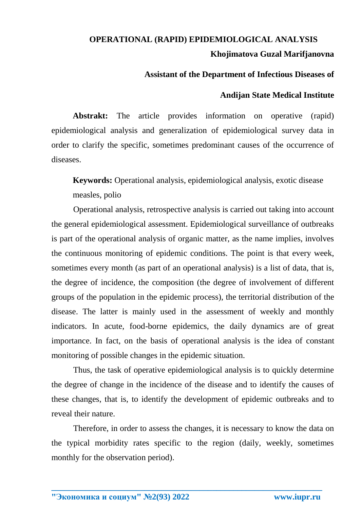## **OPERATIONAL (RAPID) EPIDEMIOLOGICAL ANALYSIS Khojimatova Guzal Marifjanovna**

## **Assistant of the Department of Infectious Diseases of**

## **Andijan State Medical Institute**

**Abstrakt:** The article provides information on operative (rapid) epidemiological analysis and generalization of epidemiological survey data in order to clarify the specific, sometimes predominant causes of the occurrence of diseases.

**Keywords:** Operational analysis, epidemiological analysis, exotic disease measles, polio

Operational analysis, retrospective analysis is carried out taking into account the general epidemiological assessment. Epidemiological surveillance of outbreaks is part of the operational analysis of organic matter, as the name implies, involves the continuous monitoring of epidemic conditions. The point is that every week, sometimes every month (as part of an operational analysis) is a list of data, that is, the degree of incidence, the composition (the degree of involvement of different groups of the population in the epidemic process), the territorial distribution of the disease. The latter is mainly used in the assessment of weekly and monthly indicators. In acute, food-borne epidemics, the daily dynamics are of great importance. In fact, on the basis of operational analysis is the idea of constant monitoring of possible changes in the epidemic situation.

Thus, the task of operative epidemiological analysis is to quickly determine the degree of change in the incidence of the disease and to identify the causes of these changes, that is, to identify the development of epidemic outbreaks and to reveal their nature.

Therefore, in order to assess the changes, it is necessary to know the data on the typical morbidity rates specific to the region (daily, weekly, sometimes monthly for the observation period).

**\_\_\_\_\_\_\_\_\_\_\_\_\_\_\_\_\_\_\_\_\_\_\_\_\_\_\_\_\_\_\_\_\_\_\_\_\_\_\_\_\_\_\_\_\_\_\_\_\_\_\_\_\_\_\_\_\_\_\_\_\_\_\_\_**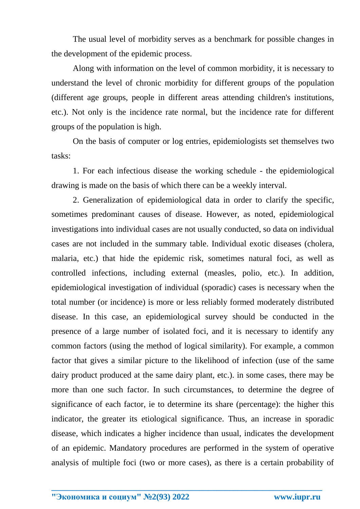The usual level of morbidity serves as a benchmark for possible changes in the development of the epidemic process.

Along with information on the level of common morbidity, it is necessary to understand the level of chronic morbidity for different groups of the population (different age groups, people in different areas attending children's institutions, etc.). Not only is the incidence rate normal, but the incidence rate for different groups of the population is high.

On the basis of computer or log entries, epidemiologists set themselves two tasks:

1. For each infectious disease the working schedule - the epidemiological drawing is made on the basis of which there can be a weekly interval.

2. Generalization of epidemiological data in order to clarify the specific, sometimes predominant causes of disease. However, as noted, epidemiological investigations into individual cases are not usually conducted, so data on individual cases are not included in the summary table. Individual exotic diseases (cholera, malaria, etc.) that hide the epidemic risk, sometimes natural foci, as well as controlled infections, including external (measles, polio, etc.). In addition, epidemiological investigation of individual (sporadic) cases is necessary when the total number (or incidence) is more or less reliably formed moderately distributed disease. In this case, an epidemiological survey should be conducted in the presence of a large number of isolated foci, and it is necessary to identify any common factors (using the method of logical similarity). For example, a common factor that gives a similar picture to the likelihood of infection (use of the same dairy product produced at the same dairy plant, etc.). in some cases, there may be more than one such factor. In such circumstances, to determine the degree of significance of each factor, ie to determine its share (percentage): the higher this indicator, the greater its etiological significance. Thus, an increase in sporadic disease, which indicates a higher incidence than usual, indicates the development of an epidemic. Mandatory procedures are performed in the system of operative analysis of multiple foci (two or more cases), as there is a certain probability of

**\_\_\_\_\_\_\_\_\_\_\_\_\_\_\_\_\_\_\_\_\_\_\_\_\_\_\_\_\_\_\_\_\_\_\_\_\_\_\_\_\_\_\_\_\_\_\_\_\_\_\_\_\_\_\_\_\_\_\_\_\_\_\_\_**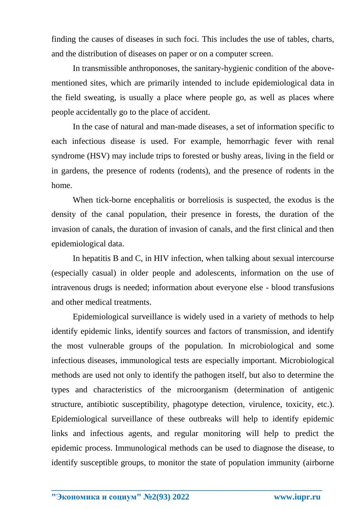finding the causes of diseases in such foci. This includes the use of tables, charts, and the distribution of diseases on paper or on a computer screen.

In transmissible anthroponoses, the sanitary-hygienic condition of the abovementioned sites, which are primarily intended to include epidemiological data in the field sweating, is usually a place where people go, as well as places where people accidentally go to the place of accident.

In the case of natural and man-made diseases, a set of information specific to each infectious disease is used. For example, hemorrhagic fever with renal syndrome (HSV) may include trips to forested or bushy areas, living in the field or in gardens, the presence of rodents (rodents), and the presence of rodents in the home.

When tick-borne encephalitis or borreliosis is suspected, the exodus is the density of the canal population, their presence in forests, the duration of the invasion of canals, the duration of invasion of canals, and the first clinical and then epidemiological data.

In hepatitis B and C, in HIV infection, when talking about sexual intercourse (especially casual) in older people and adolescents, information on the use of intravenous drugs is needed; information about everyone else - blood transfusions and other medical treatments.

Epidemiological surveillance is widely used in a variety of methods to help identify epidemic links, identify sources and factors of transmission, and identify the most vulnerable groups of the population. In microbiological and some infectious diseases, immunological tests are especially important. Microbiological methods are used not only to identify the pathogen itself, but also to determine the types and characteristics of the microorganism (determination of antigenic structure, antibiotic susceptibility, phagotype detection, virulence, toxicity, etc.). Epidemiological surveillance of these outbreaks will help to identify epidemic links and infectious agents, and regular monitoring will help to predict the epidemic process. Immunological methods can be used to diagnose the disease, to identify susceptible groups, to monitor the state of population immunity (airborne

**\_\_\_\_\_\_\_\_\_\_\_\_\_\_\_\_\_\_\_\_\_\_\_\_\_\_\_\_\_\_\_\_\_\_\_\_\_\_\_\_\_\_\_\_\_\_\_\_\_\_\_\_\_\_\_\_\_\_\_\_\_\_\_\_**